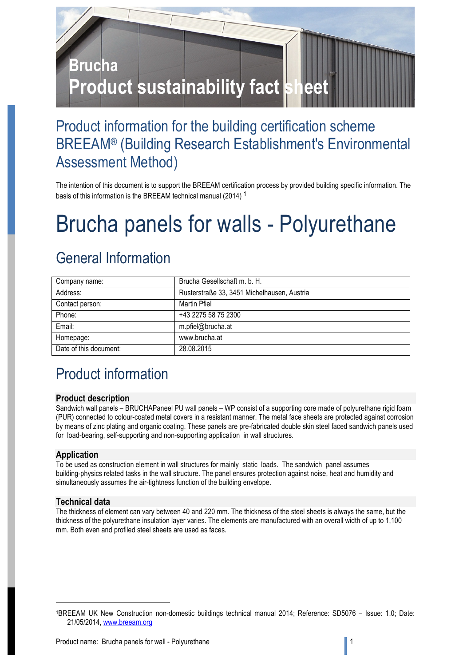

## Product information for the building certification scheme BREEAM® (Building Research Establishment's Environmental Assessment Method)

The intention of this document is to support the BREEAM certification process by provided building specific information. The basis of this information is the BREEAM technical manual (2014) <sup>1</sup>

# Brucha panels for walls - Polyurethane

# General Information

| Company name:          | Brucha Gesellschaft m. b. H.                |
|------------------------|---------------------------------------------|
| Address:               | Rusterstraße 33, 3451 Michelhausen, Austria |
| Contact person:        | Martin Pfiel                                |
| Phone:                 | +43 2275 58 75 2300                         |
| Email:                 | m.pfiel@brucha.at                           |
| Homepage:              | www.brucha.at                               |
| Date of this document: | 28.08.2015                                  |

# Product information

#### **Product description**

Sandwich wall panels – BRUCHAPaneel PU wall panels – WP consist of a supporting core made of polyurethane rigid foam (PUR) connected to colour-coated metal covers in a resistant manner. The metal face sheets are protected against corrosion by means of zinc plating and organic coating. These panels are pre-fabricated double skin steel faced sandwich panels used for load-bearing, self-supporting and non-supporting application in wall structures.

#### **Application**

To be used as construction element in wall structures for mainly static loads. The sandwich panel assumes building-physics related tasks in the wall structure. The panel ensures protection against noise, heat and humidity and simultaneously assumes the air-tightness function of the building envelope.

#### **Technical data**

1

The thickness of element can vary between 40 and 220 mm. The thickness of the steel sheets is always the same, but the thickness of the polyurethane insulation layer varies. The elements are manufactured with an overall width of up to 1,100 mm. Both even and profiled steel sheets are used as faces.

<sup>1</sup>BREEAM UK New Construction non-domestic buildings technical manual 2014; Reference: SD5076 – Issue: 1.0; Date: 21/05/2014, www.breeam.org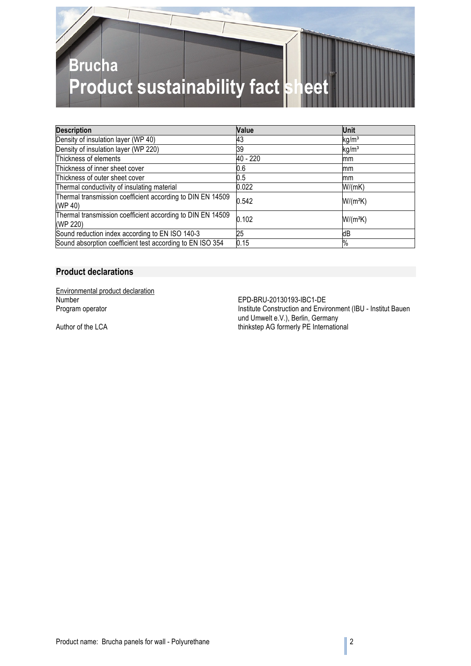

| <b>Description</b>                                                     | <b>Value</b> | Unit              |
|------------------------------------------------------------------------|--------------|-------------------|
| Density of insulation layer (WP 40)                                    | 43           | kg/m <sup>3</sup> |
| Density of insulation layer (WP 220)                                   | 39           | kg/m <sup>3</sup> |
| Thickness of elements                                                  | 40 - 220     | mm                |
| Thickness of inner sheet cover                                         | 0.6          | lmm               |
| Thickness of outer sheet cover                                         | 0.5          | mm                |
| Thermal conductivity of insulating material                            | 0.022        | W/(mK)            |
| Thermal transmission coefficient according to DIN EN 14509<br>(WP 40)  | 0.542        | $W/(m^2K)$        |
| Thermal transmission coefficient according to DIN EN 14509<br>(WP 220) | 0.102        | $W/(m^2K)$        |
| Sound reduction index according to EN ISO 140-3                        | 25           | dB                |
| Sound absorption coefficient test according to EN ISO 354              | 0.15         | %                 |

#### **Product declarations**

Environmental product declaration<br>Number Number<br>
Number EPD-BRU-20130193-IBC1-DE<br>
Program operator<br>
Program operator

Institute Construction and Environment (IBU - Institut Bauen und Umwelt e.V.), Berlin, Germany Author of the LCA thinkstep AG formerly PE International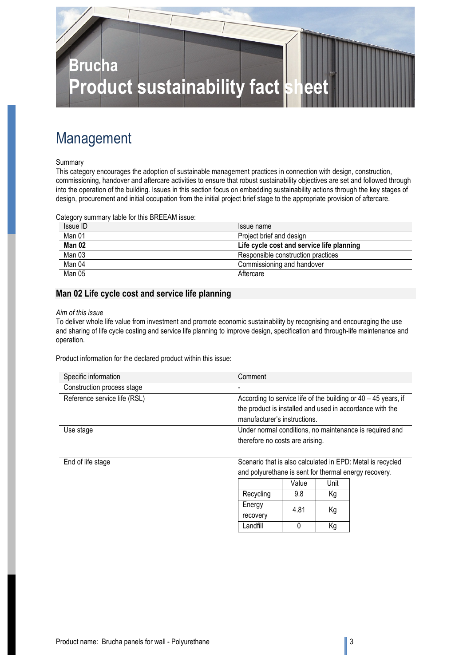

# Management

#### Summary

This category encourages the adoption of sustainable management practices in connection with design, construction, commissioning, handover and aftercare activities to ensure that robust sustainability objectives are set and followed through into the operation of the building. Issues in this section focus on embedding sustainability actions through the key stages of design, procurement and initial occupation from the initial project brief stage to the appropriate provision of aftercare.

Category summary table for this BREEAM issue:

| Issue ID | Issue name                                |
|----------|-------------------------------------------|
| Man 01   | Project brief and design                  |
| Man 02   | Life cycle cost and service life planning |
| Man 03   | Responsible construction practices        |
| Man 04   | Commissioning and handover                |
| Man 05   | Aftercare                                 |

#### **Man 02 Life cycle cost and service life planning**

#### *Aim of this issue*

To deliver whole life value from investment and promote economic sustainability by recognising and encouraging the use and sharing of life cycle costing and service life planning to improve design, specification and through-life maintenance and operation.

Product information for the declared product within this issue:

| Specific information         | Comment                                                          |
|------------------------------|------------------------------------------------------------------|
| Construction process stage   |                                                                  |
| Reference service life (RSL) | According to service life of the building or $40 - 45$ years, if |
|                              | the product is installed and used in accordance with the         |
|                              | manufacturer's instructions.                                     |
| Use stage                    | Under normal conditions, no maintenance is required and          |
|                              | therefore no costs are arising.                                  |
|                              |                                                                  |

End of life stage Scenario that is also calculated in EPD: Metal is recycled and polyurethane is sent for thermal energy recovery.

|           | Value | Unit |
|-----------|-------|------|
| Recycling | 9.8   | Κq   |
| Energy    | 4.81  | Кg   |
| recovery  |       |      |
| Landfill  |       | Κa   |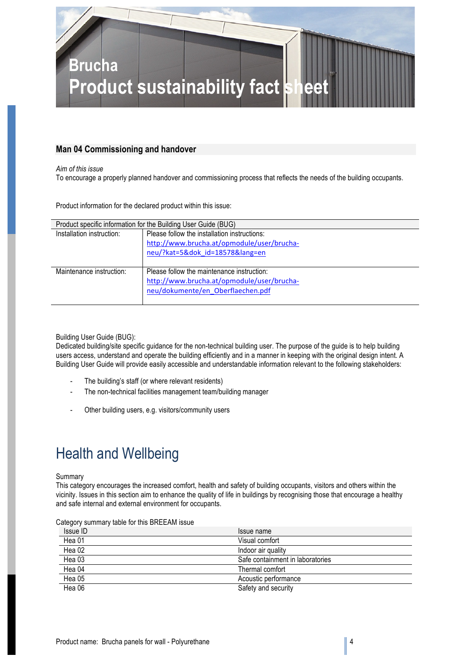

#### **Man 04 Commissioning and handover**

*Aim of this issue*

To encourage a properly planned handover and commissioning process that reflects the needs of the building occupants.

Product information for the declared product within this issue:

| Product specific information for the Building User Guide (BUG) |                                              |  |
|----------------------------------------------------------------|----------------------------------------------|--|
| Installation instruction:                                      | Please follow the installation instructions: |  |
|                                                                | http://www.brucha.at/opmodule/user/brucha-   |  |
|                                                                | neu/?kat=5&dok id=18578⟨=en                  |  |
|                                                                |                                              |  |
| Maintenance instruction:                                       | Please follow the maintenance instruction:   |  |
|                                                                | http://www.brucha.at/opmodule/user/brucha-   |  |
|                                                                | neu/dokumente/en Oberflaechen.pdf            |  |
|                                                                |                                              |  |

Building User Guide (BUG):

Dedicated building/site specific guidance for the non-technical building user. The purpose of the guide is to help building users access, understand and operate the building efficiently and in a manner in keeping with the original design intent. A Building User Guide will provide easily accessible and understandable information relevant to the following stakeholders:

- The building's staff (or where relevant residents)
- The non-technical facilities management team/building manager
- Other building users, e.g. visitors/community users

# Health and Wellbeing

#### Summary

This category encourages the increased comfort, health and safety of building occupants, visitors and others within the vicinity. Issues in this section aim to enhance the quality of life in buildings by recognising those that encourage a healthy and safe internal and external environment for occupants.

| Calegory Summary lable for this DREEAM iSSUE. |                                  |
|-----------------------------------------------|----------------------------------|
| Issue ID                                      | Issue name                       |
| Hea 01                                        | Visual comfort                   |
| Hea 02                                        | Indoor air quality               |
| Hea 03                                        | Safe containment in laboratories |
| Hea 04                                        | Thermal comfort                  |
| Hea 05                                        | Acoustic performance             |
| Hea 06                                        | Safety and security              |

Category summary table for this BREEAM issue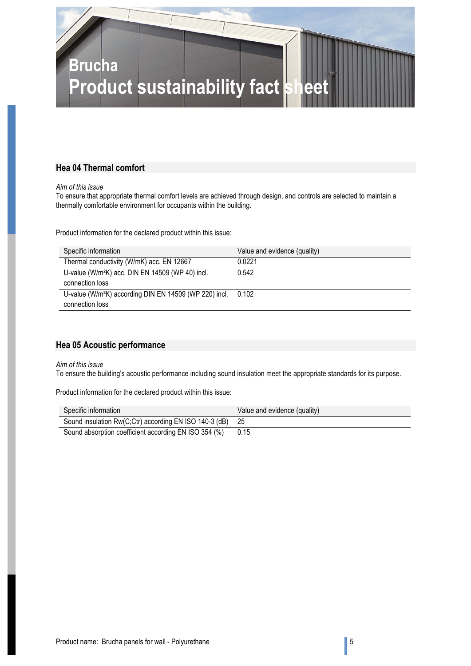

#### **Hea 04 Thermal comfort**

*Aim of this issue*

To ensure that appropriate thermal comfort levels are achieved through design, and controls are selected to maintain a thermally comfortable environment for occupants within the building.

Product information for the declared product within this issue:

| Specific information                                                     | Value and evidence (quality) |
|--------------------------------------------------------------------------|------------------------------|
| Thermal conductivity (W/mK) acc. EN 12667                                | 0.0221                       |
| U-value (W/m <sup>2</sup> K) acc. DIN EN 14509 (WP 40) incl.             | 0.542                        |
| connection loss                                                          |                              |
| U-value (W/m <sup>2</sup> K) according DIN EN 14509 (WP 220) incl. 0.102 |                              |
| connection loss                                                          |                              |

#### **Hea 05 Acoustic performance**

*Aim of this issue*

To ensure the building's acoustic performance including sound insulation meet the appropriate standards for its purpose.

Product information for the declared product within this issue:

| Specific information                                      | Value and evidence (quality) |
|-----------------------------------------------------------|------------------------------|
| Sound insulation Rw(C;Ctr) according EN ISO 140-3 (dB) 25 |                              |
| Sound absorption coefficient according EN ISO 354 (%)     | 0.15                         |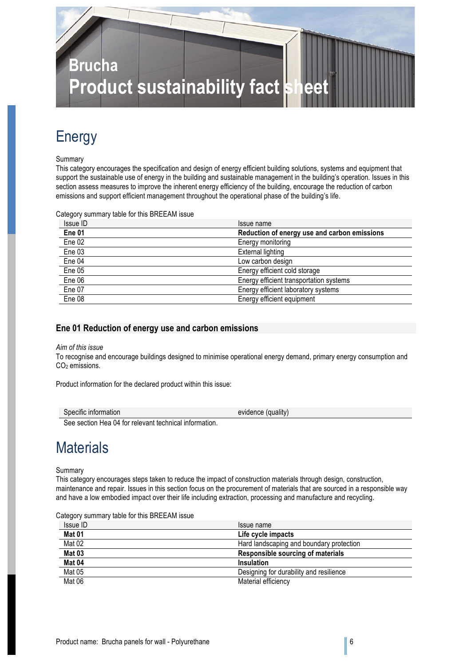

### Energy

#### Summary

This category encourages the specification and design of energy efficient building solutions, systems and equipment that support the sustainable use of energy in the building and sustainable management in the building's operation. Issues in this section assess measures to improve the inherent energy efficiency of the building, encourage the reduction of carbon emissions and support efficient management throughout the operational phase of the building's life.

Category summary table for this BREEAM issue

| Issue ID          | Issue name                                   |
|-------------------|----------------------------------------------|
| Ene <sub>01</sub> | Reduction of energy use and carbon emissions |
| Ene 02            | Energy monitoring                            |
| Ene 03            | External lighting                            |
| Ene 04            | Low carbon design                            |
| Ene 05            | Energy efficient cold storage                |
| Ene 06            | Energy efficient transportation systems      |
| Ene 07            | Energy efficient laboratory systems          |
| Ene 08            | Energy efficient equipment                   |

#### **Ene 01 Reduction of energy use and carbon emissions**

#### *Aim of this issue*

To recognise and encourage buildings designed to minimise operational energy demand, primary energy consumption and CO<sub>2</sub> emissions.

Product information for the declared product within this issue:

| Specific information | $\cdots$<br>evidence<br>duality) ( |
|----------------------|------------------------------------|
|                      |                                    |

See section Hea 04 for relevant technical information.

### **Materials**

Summary

This category encourages steps taken to reduce the impact of construction materials through design, construction, maintenance and repair. Issues in this section focus on the procurement of materials that are sourced in a responsible way and have a low embodied impact over their life including extraction, processing and manufacture and recycling.

|  | Category summary table for this BREEAM issue |
|--|----------------------------------------------|
|--|----------------------------------------------|

| Issue ID      | Issue name                               |
|---------------|------------------------------------------|
| <b>Mat 01</b> | Life cycle impacts                       |
| Mat 02        | Hard landscaping and boundary protection |
| Mat 03        | Responsible sourcing of materials        |
| Mat 04        | Insulation                               |
| Mat 05        | Designing for durability and resilience  |
| Mat 06        | Material efficiency                      |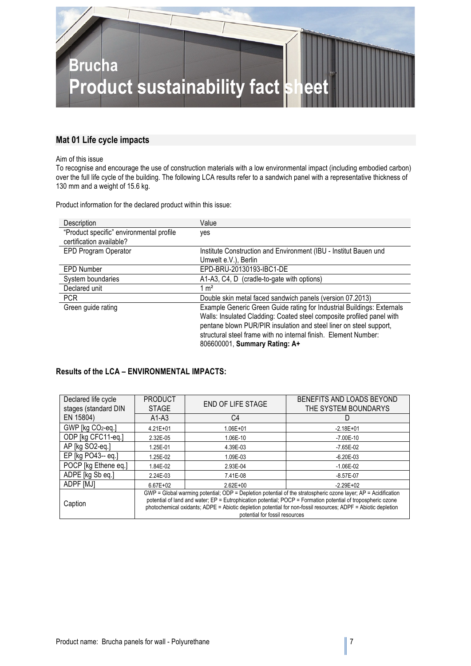

#### **Mat 01 Life cycle impacts**

#### Aim of this issue

To recognise and encourage the use of construction materials with a low environmental impact (including embodied carbon) over the full life cycle of the building. The following LCA results refer to a sandwich panel with a representative thickness of 130 mm and a weight of 15.6 kg.

Product information for the declared product within this issue:

| Description                              | Value                                                                  |
|------------------------------------------|------------------------------------------------------------------------|
| "Product specific" environmental profile | yes                                                                    |
| certification available?                 |                                                                        |
| EPD Program Operator                     | Institute Construction and Environment (IBU - Institut Bauen und       |
|                                          | Umwelt e.V.), Berlin                                                   |
| <b>EPD Number</b>                        | EPD-BRU-20130193-IBC1-DE                                               |
| System boundaries                        | A1-A3, C4, D (cradle-to-gate with options)                             |
| Declared unit                            | $1 \text{ m}^2$                                                        |
| <b>PCR</b>                               | Double skin metal faced sandwich panels (version 07.2013)              |
| Green guide rating                       | Example Generic Green Guide rating for Industrial Buildings: Externals |
|                                          | Walls: Insulated Cladding: Coated steel composite profiled panel with  |
|                                          | pentane blown PUR/PIR insulation and steel liner on steel support,     |
|                                          | structural steel frame with no internal finish. Element Number:        |
|                                          | 806600001, Summary Rating: A+                                          |

#### **Results of the LCA – ENVIRONMENTAL IMPACTS:**

| Declared life cycle  | <b>PRODUCT</b>                                                                                                                                                                                                                                                                                                                                  | END OF LIFE STAGE | BENEFITS AND LOADS BEYOND |
|----------------------|-------------------------------------------------------------------------------------------------------------------------------------------------------------------------------------------------------------------------------------------------------------------------------------------------------------------------------------------------|-------------------|---------------------------|
| stages (standard DIN | <b>STAGE</b>                                                                                                                                                                                                                                                                                                                                    |                   | THE SYSTEM BOUNDARYS      |
| EN 15804)            | $A1-A3$                                                                                                                                                                                                                                                                                                                                         | C4                | D                         |
| GWP [kg CO2-eq.]     | $4.21E + 01$                                                                                                                                                                                                                                                                                                                                    | 1.06E+01          | $-2.18E + 01$             |
| ODP [kg CFC11-eq.]   | 2.32E-05                                                                                                                                                                                                                                                                                                                                        | 1.06E-10          | $-7.00E - 10$             |
| AP [kg SO2-eq.]      | 1.25E-01                                                                                                                                                                                                                                                                                                                                        | 4.39E-03          | $-7.65E-02$               |
| EP [kg PO43-- eq.]   | 1.25E-02                                                                                                                                                                                                                                                                                                                                        | 1.09E-03          | $-6.20E - 03$             |
| POCP [kg Ethene eq.] | 1.84E-02                                                                                                                                                                                                                                                                                                                                        | 2.93E-04          | $-1.06E-02$               |
| ADPE [kg Sb eq.]     | 2.24E-03                                                                                                                                                                                                                                                                                                                                        | 7.41E-08          | $-8.57E-07$               |
| ADPF [MJ]            | $6.67E + 02$                                                                                                                                                                                                                                                                                                                                    | $2.62E + 00$      | $-2.29E+02$               |
| Caption              | GWP = Global warming potential; ODP = Depletion potential of the stratospheric ozone layer; AP = Acidification<br>potential of land and water; EP = Eutrophication potential; POCP = Formation potential of tropospheric ozone<br>photochemical oxidants; ADPE = Abiotic depletion potential for non-fossil resources; ADPF = Abiotic depletion |                   |                           |
|                      | potential for fossil resources                                                                                                                                                                                                                                                                                                                  |                   |                           |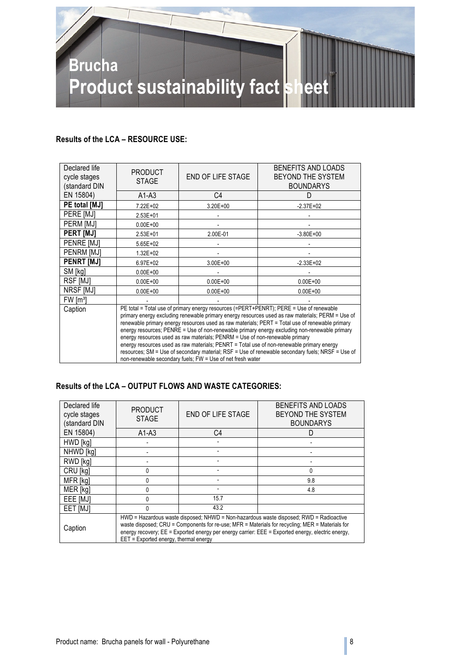

#### **Results of the LCA – RESOURCE USE:**

| Declared life<br>cycle stages<br>(standard DIN                                                                                                                                                                                                                                                                                                                                                                                                                                                                                                                                                                                                                                                                                                            | <b>PRODUCT</b><br><b>STAGE</b> | <b>END OF LIFE STAGE</b> | BENEFITS AND LOADS<br>BEYOND THE SYSTEM<br><b>BOUNDARYS</b> |
|-----------------------------------------------------------------------------------------------------------------------------------------------------------------------------------------------------------------------------------------------------------------------------------------------------------------------------------------------------------------------------------------------------------------------------------------------------------------------------------------------------------------------------------------------------------------------------------------------------------------------------------------------------------------------------------------------------------------------------------------------------------|--------------------------------|--------------------------|-------------------------------------------------------------|
| EN 15804)                                                                                                                                                                                                                                                                                                                                                                                                                                                                                                                                                                                                                                                                                                                                                 | $A1-A3$                        | C <sub>4</sub>           | D                                                           |
| PE total [MJ]                                                                                                                                                                                                                                                                                                                                                                                                                                                                                                                                                                                                                                                                                                                                             | 7.22E+02                       | $3.20E + 00$             | $-2.37E+02$                                                 |
| PERE [MJ]                                                                                                                                                                                                                                                                                                                                                                                                                                                                                                                                                                                                                                                                                                                                                 | $2.53E + 01$                   |                          |                                                             |
| PERM [MJ]                                                                                                                                                                                                                                                                                                                                                                                                                                                                                                                                                                                                                                                                                                                                                 | $0.00E + 00$                   |                          |                                                             |
| <b>PERT IMJI</b>                                                                                                                                                                                                                                                                                                                                                                                                                                                                                                                                                                                                                                                                                                                                          | 2.53E+01                       | 2.00E-01                 | $-3.80E + 00$                                               |
| PENRE [MJ]                                                                                                                                                                                                                                                                                                                                                                                                                                                                                                                                                                                                                                                                                                                                                | 5.65E+02                       |                          |                                                             |
| PENRM [MJ]                                                                                                                                                                                                                                                                                                                                                                                                                                                                                                                                                                                                                                                                                                                                                | $1.32E + 02$                   |                          |                                                             |
| <b>PENRT [MJ]</b>                                                                                                                                                                                                                                                                                                                                                                                                                                                                                                                                                                                                                                                                                                                                         | 6.97E+02                       | $3.00E + 00$             | $-2.33E+02$                                                 |
| SM [kg]                                                                                                                                                                                                                                                                                                                                                                                                                                                                                                                                                                                                                                                                                                                                                   | $0.00E + 00$                   |                          |                                                             |
| RSF [MJ]                                                                                                                                                                                                                                                                                                                                                                                                                                                                                                                                                                                                                                                                                                                                                  | $0.00E + 00$                   | $0.00E + 00$             | $0.00E + 00$                                                |
| NRSF [MJ]                                                                                                                                                                                                                                                                                                                                                                                                                                                                                                                                                                                                                                                                                                                                                 | $0.00E + 00$                   | $0.00E + 00$             | $0.00E + 00$                                                |
| FW [m <sup>3</sup> ]                                                                                                                                                                                                                                                                                                                                                                                                                                                                                                                                                                                                                                                                                                                                      |                                |                          |                                                             |
| PE total = Total use of primary energy resources (=PERT+PENRT); PERE = Use of renewable<br>Caption<br>primary energy excluding renewable primary energy resources used as raw materials; PERM = Use of<br>renewable primary energy resources used as raw materials; PERT = Total use of renewable primary<br>energy resources; PENRE = Use of non-renewable primary energy excluding non-renewable primary<br>energy resources used as raw materials; PENRM = Use of non-renewable primary<br>energy resources used as raw materials; PENRT = Total use of non-renewable primary energy<br>resources; SM = Use of secondary material; RSF = Use of renewable secondary fuels; NRSF = Use of<br>non-renewable secondary fuels; FW = Use of net fresh water |                                |                          |                                                             |

#### **Results of the LCA – OUTPUT FLOWS AND WASTE CATEGORIES:**

| Declared life<br>cycle stages<br>(standard DIN | <b>PRODUCT</b><br><b>STAGE</b>                                                                                                                                                                                                                                                                                                          | END OF LIFE STAGE | BENEFITS AND LOADS<br>BEYOND THE SYSTEM<br><b>BOUNDARYS</b> |
|------------------------------------------------|-----------------------------------------------------------------------------------------------------------------------------------------------------------------------------------------------------------------------------------------------------------------------------------------------------------------------------------------|-------------------|-------------------------------------------------------------|
| EN 15804)                                      | $A1-A3$                                                                                                                                                                                                                                                                                                                                 | C4                |                                                             |
| HWD [kg]                                       |                                                                                                                                                                                                                                                                                                                                         |                   |                                                             |
| NHWD [kg]                                      |                                                                                                                                                                                                                                                                                                                                         |                   |                                                             |
| RWD [kg]                                       |                                                                                                                                                                                                                                                                                                                                         |                   |                                                             |
| CRU [kg]                                       | N                                                                                                                                                                                                                                                                                                                                       |                   | 0                                                           |
| MFR [kg]                                       |                                                                                                                                                                                                                                                                                                                                         |                   | 9.8                                                         |
| MER [kg]                                       | <sup>0</sup>                                                                                                                                                                                                                                                                                                                            |                   | 4.8                                                         |
| EEE [MJ]                                       | 0                                                                                                                                                                                                                                                                                                                                       | 15.7              |                                                             |
| EET <sub>[MJ]</sub>                            | <sup>n</sup>                                                                                                                                                                                                                                                                                                                            | 43.2              |                                                             |
| Caption                                        | HWD = Hazardous waste disposed; NHWD = Non-hazardous waste disposed; RWD = Radioactive<br>waste disposed; CRU = Components for re-use; MFR = Materials for recycling; MER = Materials for<br>energy recovery; EE = Exported energy per energy carrier: EEE = Exported energy, electric energy,<br>EET = Exported energy, thermal energy |                   |                                                             |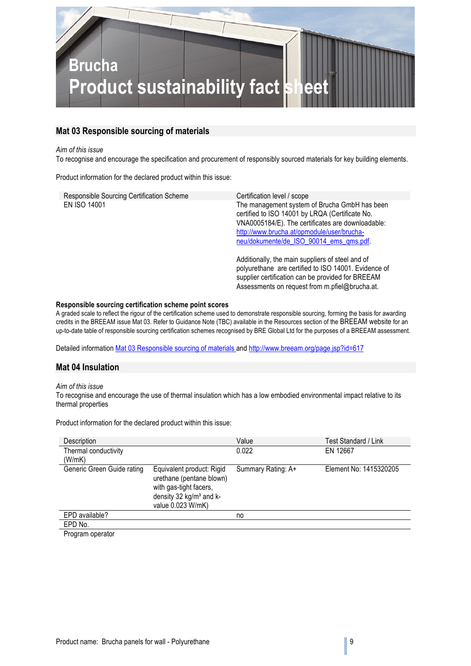

#### **Mat 03 Responsible sourcing of materials**

#### *Aim of this issue*

To recognise and encourage the specification and procurement of responsibly sourced materials for key building elements.

Product information for the declared product within this issue:

| Responsible Sourcing Certification Scheme | Certification level / scope                                                                                                                                                                                                                    |
|-------------------------------------------|------------------------------------------------------------------------------------------------------------------------------------------------------------------------------------------------------------------------------------------------|
| EN ISO 14001                              | The management system of Brucha GmbH has been<br>certified to ISO 14001 by LRQA (Certificate No.<br>VNA0005184/E). The certificates are downloadable:<br>http://www.brucha.at/opmodule/user/brucha-<br>neu/dokumente/de ISO 90014 ems qms.pdf. |
|                                           | Additionally, the main suppliers of steel and of<br>polyurethane are certified to ISO 14001. Evidence of<br>supplier certification can be provided for BREEAM<br>Assessments on request from m.pfiel@brucha.at.                                |

#### **Responsible sourcing certification scheme point scores**

A graded scale to reflect the rigour of the certification scheme used to demonstrate responsible sourcing, forming the basis for awarding credits in the BREEAM issue Mat 03. Refer to Guidance Note (TBC) available in the Resources section of the BREEAM website for an up-to-date table of responsible sourcing certification schemes recognised by BRE Global Ltd for the purposes of a BREEAM assessment.

Detailed information Mat 03 Responsible sourcing of materials and http://www.breeam.org/page.jsp?id=617

#### **Mat 04 Insulation**

#### *Aim of this issue*

To recognise and encourage the use of thermal insulation which has a low embodied environmental impact relative to its thermal properties

Product information for the declared product within this issue:

| Description                |                                                                                                                                             | Value              | Test Standard / Link   |
|----------------------------|---------------------------------------------------------------------------------------------------------------------------------------------|--------------------|------------------------|
| Thermal conductivity       |                                                                                                                                             | 0.022              | EN 12667               |
| (W/mK)                     |                                                                                                                                             |                    |                        |
| Generic Green Guide rating | Equivalent product: Rigid<br>urethane (pentane blown)<br>with gas-tight facers,<br>density 32 kg/m <sup>3</sup> and k-<br>value 0.023 W/mK) | Summary Rating: A+ | Element No: 1415320205 |
| EPD available?             |                                                                                                                                             | no                 |                        |
| EPD No.                    |                                                                                                                                             |                    |                        |
| Drogram operator           |                                                                                                                                             |                    |                        |

Program operator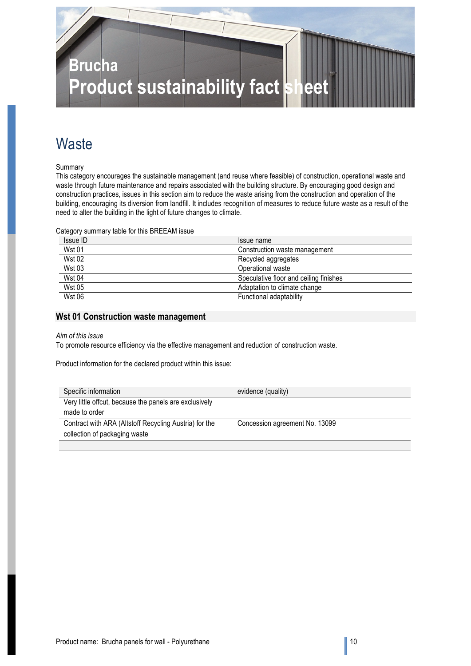

## **Waste**

Summary

This category encourages the sustainable management (and reuse where feasible) of construction, operational waste and waste through future maintenance and repairs associated with the building structure. By encouraging good design and construction practices, issues in this section aim to reduce the waste arising from the construction and operation of the building, encouraging its diversion from landfill. It includes recognition of measures to reduce future waste as a result of the need to alter the building in the light of future changes to climate.

Category summary table for this BREEAM issue

| Issue ID      | Issue name                             |
|---------------|----------------------------------------|
| <b>Wst 01</b> | Construction waste management          |
| <b>Wst 02</b> | Recycled aggregates                    |
| <b>Wst 03</b> | Operational waste                      |
| <b>Wst 04</b> | Speculative floor and ceiling finishes |
| <b>Wst 05</b> | Adaptation to climate change           |
| <b>Wst 06</b> | Functional adaptability                |

#### **Wst 01 Construction waste management**

#### *Aim of this issue*

To promote resource efficiency via the effective management and reduction of construction waste.

Product information for the declared product within this issue:

| Specific information                                   | evidence (quality)             |
|--------------------------------------------------------|--------------------------------|
| Very little offcut, because the panels are exclusively |                                |
| made to order                                          |                                |
| Contract with ARA (Altstoff Recycling Austria) for the | Concession agreement No. 13099 |
| collection of packaging waste                          |                                |
|                                                        |                                |